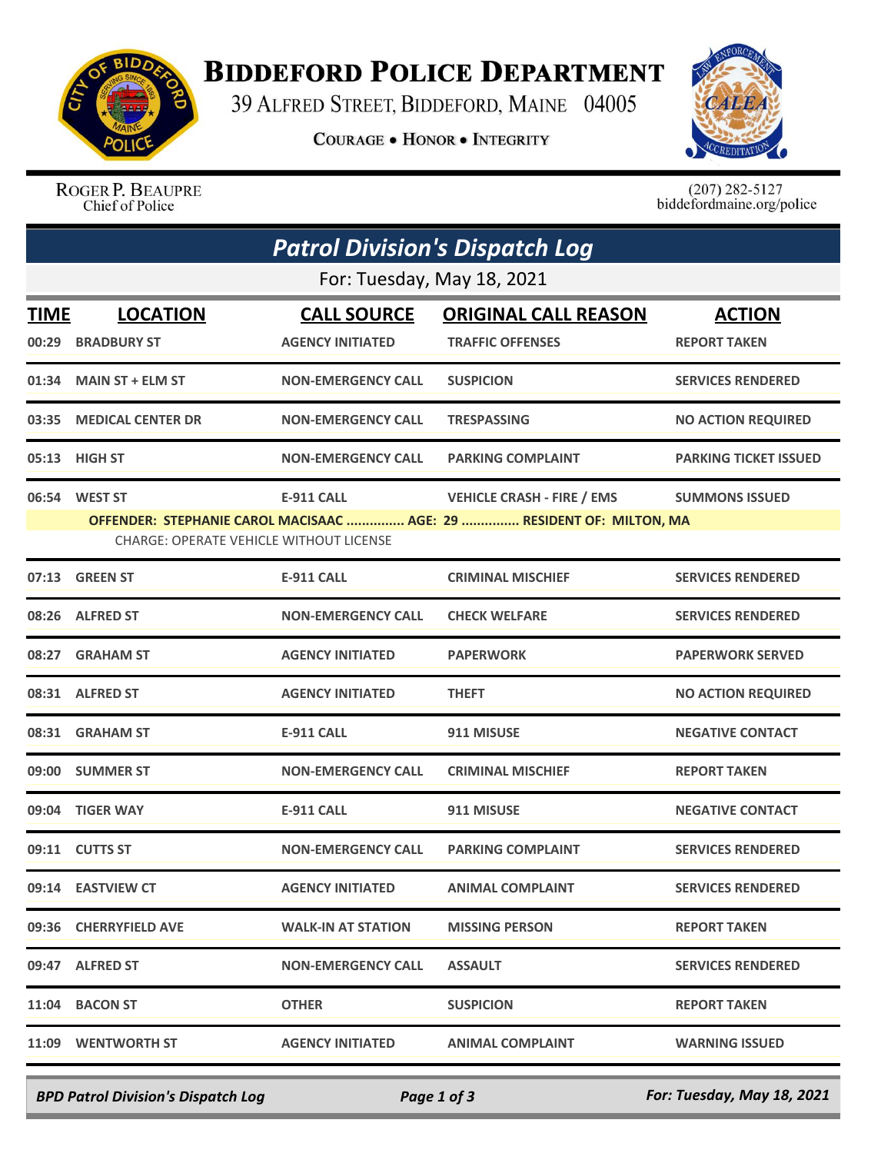

## **BIDDEFORD POLICE DEPARTMENT**

39 ALFRED STREET, BIDDEFORD, MAINE 04005

**COURAGE . HONOR . INTEGRITY** 



ROGER P. BEAUPRE Chief of Police

 $(207)$  282-5127<br>biddefordmaine.org/police

| <b>Patrol Division's Dispatch Log</b> |                                                                 |                                               |                                                                                                           |                                      |  |  |  |
|---------------------------------------|-----------------------------------------------------------------|-----------------------------------------------|-----------------------------------------------------------------------------------------------------------|--------------------------------------|--|--|--|
| For: Tuesday, May 18, 2021            |                                                                 |                                               |                                                                                                           |                                      |  |  |  |
| <b>TIME</b><br>00:29                  | <b>LOCATION</b><br><b>BRADBURY ST</b>                           | <b>CALL SOURCE</b><br><b>AGENCY INITIATED</b> | <b>ORIGINAL CALL REASON</b><br><b>TRAFFIC OFFENSES</b>                                                    | <b>ACTION</b><br><b>REPORT TAKEN</b> |  |  |  |
| 01:34                                 | <b>MAIN ST + ELM ST</b>                                         | <b>NON-EMERGENCY CALL</b>                     | <b>SUSPICION</b>                                                                                          | <b>SERVICES RENDERED</b>             |  |  |  |
| 03:35                                 | <b>MEDICAL CENTER DR</b>                                        | <b>NON-EMERGENCY CALL</b>                     | <b>TRESPASSING</b>                                                                                        | <b>NO ACTION REQUIRED</b>            |  |  |  |
| 05:13                                 | HIGH ST                                                         | <b>NON-EMERGENCY CALL</b>                     | <b>PARKING COMPLAINT</b>                                                                                  | <b>PARKING TICKET ISSUED</b>         |  |  |  |
|                                       | 06:54 WEST ST<br><b>CHARGE: OPERATE VEHICLE WITHOUT LICENSE</b> | <b>E-911 CALL</b>                             | <b>VEHICLE CRASH - FIRE / EMS</b><br>OFFENDER: STEPHANIE CAROL MACISAAC  AGE: 29  RESIDENT OF: MILTON, MA | <b>SUMMONS ISSUED</b>                |  |  |  |
| 07:13                                 | <b>GREEN ST</b>                                                 | <b>E-911 CALL</b>                             | <b>CRIMINAL MISCHIEF</b>                                                                                  | <b>SERVICES RENDERED</b>             |  |  |  |
|                                       | 08:26 ALFRED ST                                                 | <b>NON-EMERGENCY CALL</b>                     | <b>CHECK WELFARE</b>                                                                                      | <b>SERVICES RENDERED</b>             |  |  |  |
| 08:27                                 | <b>GRAHAM ST</b>                                                | <b>AGENCY INITIATED</b>                       | <b>PAPERWORK</b>                                                                                          | <b>PAPERWORK SERVED</b>              |  |  |  |
|                                       | 08:31 ALFRED ST                                                 | <b>AGENCY INITIATED</b>                       | <b>THEFT</b>                                                                                              | <b>NO ACTION REQUIRED</b>            |  |  |  |
|                                       | 08:31 GRAHAM ST                                                 | <b>E-911 CALL</b>                             | 911 MISUSE                                                                                                | <b>NEGATIVE CONTACT</b>              |  |  |  |
| 09:00                                 | <b>SUMMER ST</b>                                                | <b>NON-EMERGENCY CALL</b>                     | <b>CRIMINAL MISCHIEF</b>                                                                                  | <b>REPORT TAKEN</b>                  |  |  |  |
| 09:04                                 | <b>TIGER WAY</b>                                                | <b>E-911 CALL</b>                             | 911 MISUSE                                                                                                | <b>NEGATIVE CONTACT</b>              |  |  |  |
| 09:11                                 | <b>CUTTS ST</b>                                                 | <b>NON-EMERGENCY CALL</b>                     | <b>PARKING COMPLAINT</b>                                                                                  | <b>SERVICES RENDERED</b>             |  |  |  |
|                                       | 09:14 EASTVIEW CT                                               | <b>AGENCY INITIATED</b>                       | <b>ANIMAL COMPLAINT</b>                                                                                   | <b>SERVICES RENDERED</b>             |  |  |  |
|                                       | 09:36 CHERRYFIELD AVE                                           | <b>WALK-IN AT STATION</b>                     | <b>MISSING PERSON</b>                                                                                     | <b>REPORT TAKEN</b>                  |  |  |  |
|                                       | 09:47 ALFRED ST                                                 | <b>NON-EMERGENCY CALL</b>                     | <b>ASSAULT</b>                                                                                            | <b>SERVICES RENDERED</b>             |  |  |  |
| 11:04                                 | <b>BACON ST</b>                                                 | <b>OTHER</b>                                  | <b>SUSPICION</b>                                                                                          | <b>REPORT TAKEN</b>                  |  |  |  |
|                                       | 11:09 WENTWORTH ST                                              | <b>AGENCY INITIATED</b>                       | <b>ANIMAL COMPLAINT</b>                                                                                   | <b>WARNING ISSUED</b>                |  |  |  |

*BPD Patrol Division's Dispatch Log Page 1 of 3 For: Tuesday, May 18, 2021*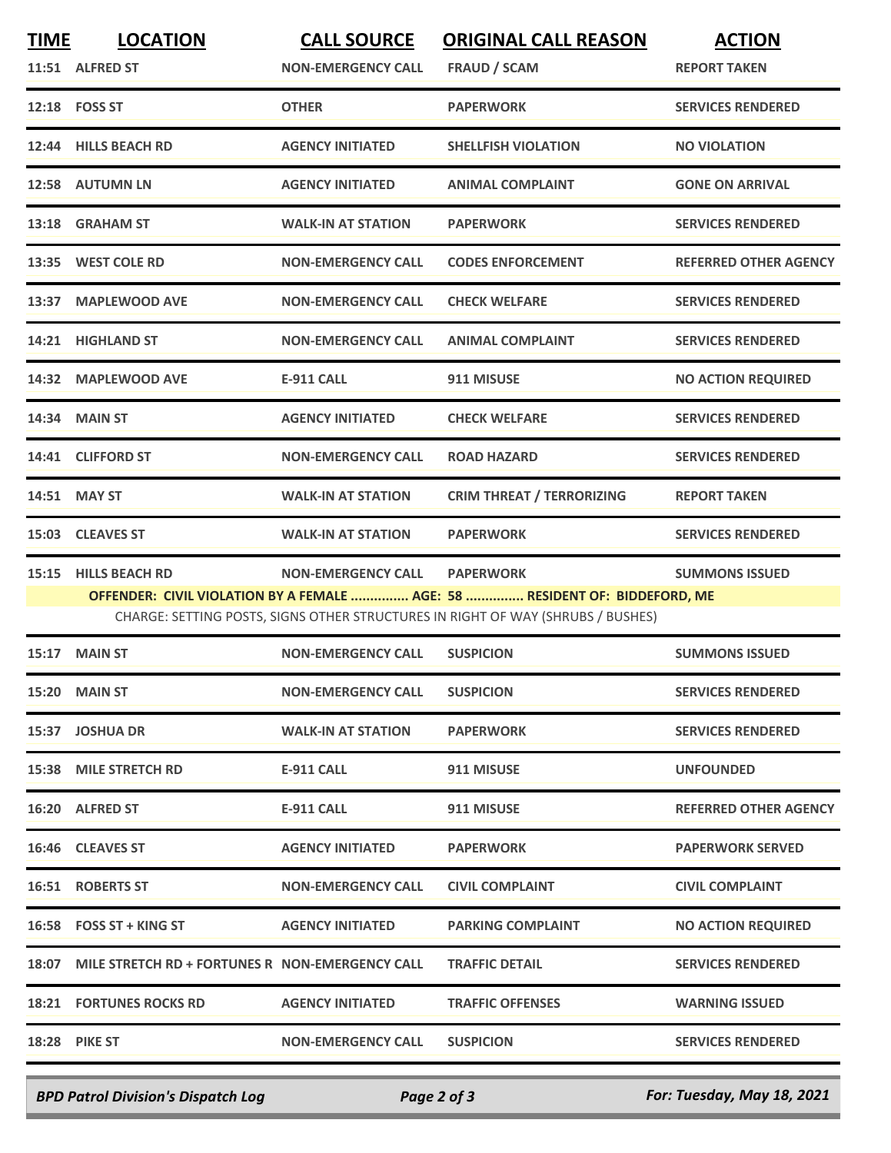| <b>TIME</b> | <b>LOCATION</b><br>11:51 ALFRED ST                    | <b>CALL SOURCE</b><br><b>NON-EMERGENCY CALL</b> | <b>ORIGINAL CALL REASON</b><br><b>FRAUD / SCAM</b>                                                                                                                                | <b>ACTION</b><br><b>REPORT TAKEN</b> |
|-------------|-------------------------------------------------------|-------------------------------------------------|-----------------------------------------------------------------------------------------------------------------------------------------------------------------------------------|--------------------------------------|
|             | 12:18    FOSS ST                                      | <b>OTHER</b>                                    | <b>PAPERWORK</b>                                                                                                                                                                  | <b>SERVICES RENDERED</b>             |
| 12:44       | <b>HILLS BEACH RD</b>                                 | <b>AGENCY INITIATED</b>                         | <b>SHELLFISH VIOLATION</b>                                                                                                                                                        | <b>NO VIOLATION</b>                  |
|             | 12:58 AUTUMN LN                                       | <b>AGENCY INITIATED</b>                         | <b>ANIMAL COMPLAINT</b>                                                                                                                                                           | <b>GONE ON ARRIVAL</b>               |
| 13:18       | <b>GRAHAM ST</b>                                      | <b>WALK-IN AT STATION</b>                       | <b>PAPERWORK</b>                                                                                                                                                                  | <b>SERVICES RENDERED</b>             |
|             | 13:35 WEST COLE RD                                    | <b>NON-EMERGENCY CALL</b>                       | <b>CODES ENFORCEMENT</b>                                                                                                                                                          | <b>REFERRED OTHER AGENCY</b>         |
| 13:37       | <b>MAPLEWOOD AVE</b>                                  | <b>NON-EMERGENCY CALL</b>                       | <b>CHECK WELFARE</b>                                                                                                                                                              | <b>SERVICES RENDERED</b>             |
|             | 14:21 HIGHLAND ST                                     | <b>NON-EMERGENCY CALL</b>                       | <b>ANIMAL COMPLAINT</b>                                                                                                                                                           | <b>SERVICES RENDERED</b>             |
|             | 14:32 MAPLEWOOD AVE                                   | <b>E-911 CALL</b>                               | 911 MISUSE                                                                                                                                                                        | <b>NO ACTION REQUIRED</b>            |
|             | 14:34 MAIN ST                                         | <b>AGENCY INITIATED</b>                         | <b>CHECK WELFARE</b>                                                                                                                                                              | <b>SERVICES RENDERED</b>             |
|             | 14:41 CLIFFORD ST                                     | <b>NON-EMERGENCY CALL</b>                       | <b>ROAD HAZARD</b>                                                                                                                                                                | <b>SERVICES RENDERED</b>             |
|             | 14:51 MAY ST                                          | <b>WALK-IN AT STATION</b>                       | <b>CRIM THREAT / TERRORIZING</b>                                                                                                                                                  | <b>REPORT TAKEN</b>                  |
| 15:03       | <b>CLEAVES ST</b>                                     | <b>WALK-IN AT STATION</b>                       | <b>PAPERWORK</b>                                                                                                                                                                  | <b>SERVICES RENDERED</b>             |
| 15:15       | <b>HILLS BEACH RD</b>                                 | <b>NON-EMERGENCY CALL</b>                       | <b>PAPERWORK</b><br>OFFENDER: CIVIL VIOLATION BY A FEMALE  AGE: 58  RESIDENT OF: BIDDEFORD, ME<br>CHARGE: SETTING POSTS, SIGNS OTHER STRUCTURES IN RIGHT OF WAY (SHRUBS / BUSHES) | <b>SUMMONS ISSUED</b>                |
| 15:17       | <b>MAIN ST</b>                                        | <b>NON-EMERGENCY CALL</b>                       | <b>SUSPICION</b>                                                                                                                                                                  | <b>SUMMONS ISSUED</b>                |
|             | 15:20 MAIN ST                                         | <b>NON-EMERGENCY CALL</b>                       | <b>SUSPICION</b>                                                                                                                                                                  | <b>SERVICES RENDERED</b>             |
|             | 15:37 JOSHUA DR                                       | <b>WALK-IN AT STATION</b>                       | <b>PAPERWORK</b>                                                                                                                                                                  | <b>SERVICES RENDERED</b>             |
|             | <b>15:38 MILE STRETCH RD</b>                          | <b>E-911 CALL</b>                               | 911 MISUSE                                                                                                                                                                        | <b>UNFOUNDED</b>                     |
|             | 16:20 ALFRED ST                                       | <b>E-911 CALL</b>                               | 911 MISUSE                                                                                                                                                                        | <b>REFERRED OTHER AGENCY</b>         |
|             | 16:46 CLEAVES ST                                      | <b>AGENCY INITIATED</b>                         | <b>PAPERWORK</b>                                                                                                                                                                  | <b>PAPERWORK SERVED</b>              |
|             | <b>16:51 ROBERTS ST</b>                               | <b>NON-EMERGENCY CALL</b>                       | <b>CIVIL COMPLAINT</b>                                                                                                                                                            | <b>CIVIL COMPLAINT</b>               |
|             | 16:58 FOSS ST + KING ST                               | <b>AGENCY INITIATED</b>                         | <b>PARKING COMPLAINT</b>                                                                                                                                                          | <b>NO ACTION REQUIRED</b>            |
|             | 18:07 MILE STRETCH RD + FORTUNES R NON-EMERGENCY CALL |                                                 | <b>TRAFFIC DETAIL</b>                                                                                                                                                             | <b>SERVICES RENDERED</b>             |
|             | <b>18:21 FORTUNES ROCKS RD</b>                        | <b>AGENCY INITIATED</b>                         | <b>TRAFFIC OFFENSES</b>                                                                                                                                                           | <b>WARNING ISSUED</b>                |
|             | <b>18:28 PIKE ST</b>                                  | <b>NON-EMERGENCY CALL</b>                       | <b>SUSPICION</b>                                                                                                                                                                  | <b>SERVICES RENDERED</b>             |
|             |                                                       |                                                 |                                                                                                                                                                                   |                                      |

*BPD Patrol Division's Dispatch Log Page 2 of 3 For: Tuesday, May 18, 2021*